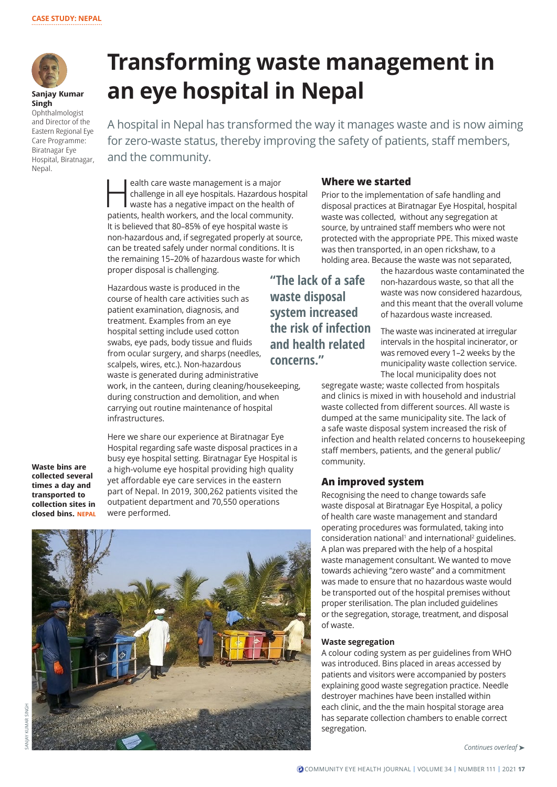

**Sanjay Kumar Singh** 

Ophthalmologist and Director of the Eastern Regional Eye Care Programme: Biratnagar Eye Hospital, Biratnagar, Nepal.

# **Transforming waste management in an eye hospital in Nepal**

A hospital in Nepal has transformed the way it manages waste and is now aiming for zero-waste status, thereby improving the safety of patients, staff members, and the community.

**Health care waste management is a major<br>
challenge in all eye hospitals. Hazardous hosp<br>
waste has a negative impact on the health of<br>
patients, boalth werkers, and the local sommunity** challenge in all eye hospitals. Hazardous hospital patients, health workers, and the local community. It is believed that 80–85% of eye hospital waste is non-hazardous and, if segregated properly at source, can be treated safely under normal conditions. It is the remaining 15–20% of hazardous waste for which proper disposal is challenging.

Hazardous waste is produced in the course of health care activities such as patient examination, diagnosis, and treatment. Examples from an eye hospital setting include used cotton swabs, eye pads, body tissue and fluids from ocular surgery, and sharps (needles, scalpels, wires, etc.). Non-hazardous waste is generated during administrative work, in the canteen, during cleaning/housekeeping, during construction and demolition, and when carrying out routine maintenance of hospital infrastructures.

**Waste bins are collected several times a day and transported to collection sites in closed bins. NEPAL**

Here we share our experience at Biratnagar Eye Hospital regarding safe waste disposal practices in a busy eye hospital setting. Biratnagar Eye Hospital is a high-volume eye hospital providing high quality yet affordable eye care services in the eastern part of Nepal. In 2019, 300,262 patients visited the outpatient department and 70,550 operations were performed.



## **Where we started**

Prior to the implementation of safe handling and disposal practices at Biratnagar Eye Hospital, hospital waste was collected, without any segregation at source, by untrained staff members who were not protected with the appropriate PPE. This mixed waste was then transported, in an open rickshaw, to a holding area. Because the waste was not separated,

**"The lack of a safe waste disposal system increased the risk of infection and health related concerns."**

the hazardous waste contaminated the non-hazardous waste, so that all the waste was now considered hazardous, and this meant that the overall volume of hazardous waste increased.

The waste was incinerated at irregular intervals in the hospital incinerator, or was removed every 1–2 weeks by the municipality waste collection service. The local municipality does not

segregate waste; waste collected from hospitals and clinics is mixed in with household and industrial waste collected from different sources. All waste is dumped at the same municipality site. The lack of a safe waste disposal system increased the risk of infection and health related concerns to housekeeping staff members, patients, and the general public/ community.

## **An improved system**

Recognising the need to change towards safe waste disposal at Biratnagar Eye Hospital, a policy of health care waste management and standard operating procedures was formulated, taking into consideration national<sup>1</sup> and international<sup>2</sup> guidelines. A plan was prepared with the help of a hospital waste management consultant. We wanted to move towards achieving "zero waste" and a commitment was made to ensure that no hazardous waste would be transported out of the hospital premises without proper sterilisation. The plan included guidelines or the segregation, storage, treatment, and disposal of waste.

#### **Waste segregation**

A colour coding system as per guidelines from WHO was introduced. Bins placed in areas accessed by patients and visitors were accompanied by posters explaining good waste segregation practice. Needle destroyer machines have been installed within each clinic, and the the main hospital storage area has separate collection chambers to enable correct segregation.

*Continues overleaf* ➤